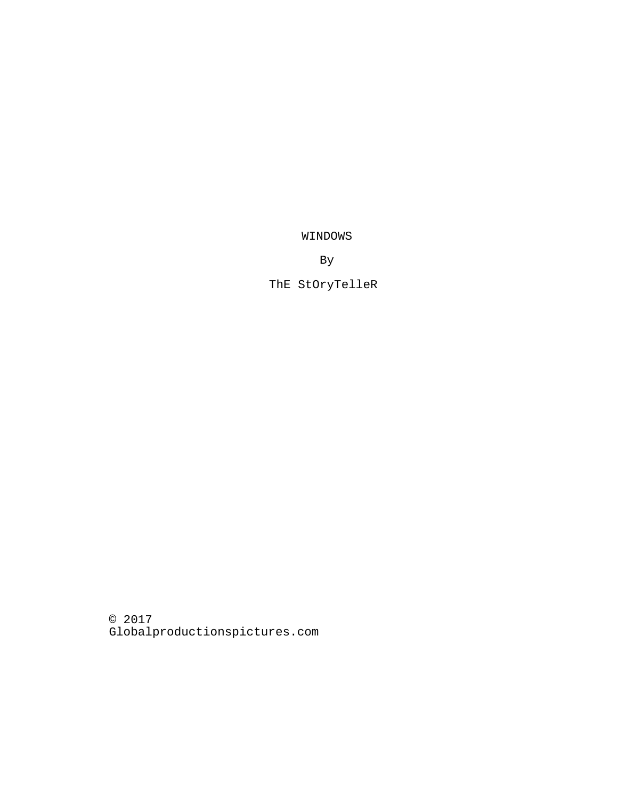WINDOWS

By

ThE StOryTelleR

© 2017 Globalproductionspictures.com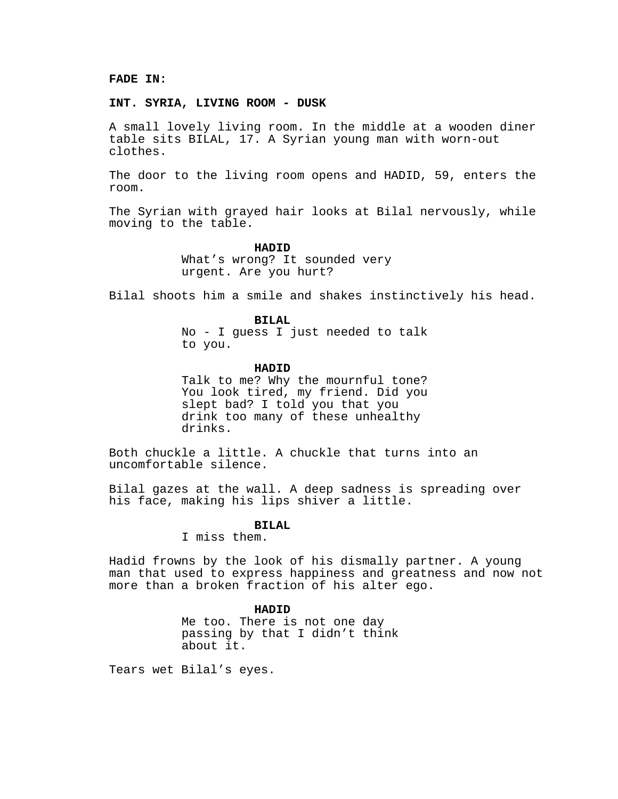## **FADE IN:**

### **INT. SYRIA, LIVING ROOM - DUSK**

A small lovely living room. In the middle at a wooden diner table sits BILAL, 17. A Syrian young man with worn-out clothes.

The door to the living room opens and HADID, 59, enters the room.

The Syrian with grayed hair looks at Bilal nervously, while moving to the table.

#### **HADID**

What's wrong? It sounded very urgent. Are you hurt?

Bilal shoots him a smile and shakes instinctively his head.

#### **BILAL**

No - I guess I just needed to talk to you.

#### **HADID**

Talk to me? Why the mournful tone? You look tired, my friend. Did you slept bad? I told you that you drink too many of these unhealthy drinks.

Both chuckle a little. A chuckle that turns into an uncomfortable silence.

Bilal gazes at the wall. A deep sadness is spreading over his face, making his lips shiver a little.

## **BILAL**

I miss them.

Hadid frowns by the look of his dismally partner. A young man that used to express happiness and greatness and now not more than a broken fraction of his alter ego.

## **HADID**

Me too. There is not one day passing by that I didn't think about it.

Tears wet Bilal's eyes.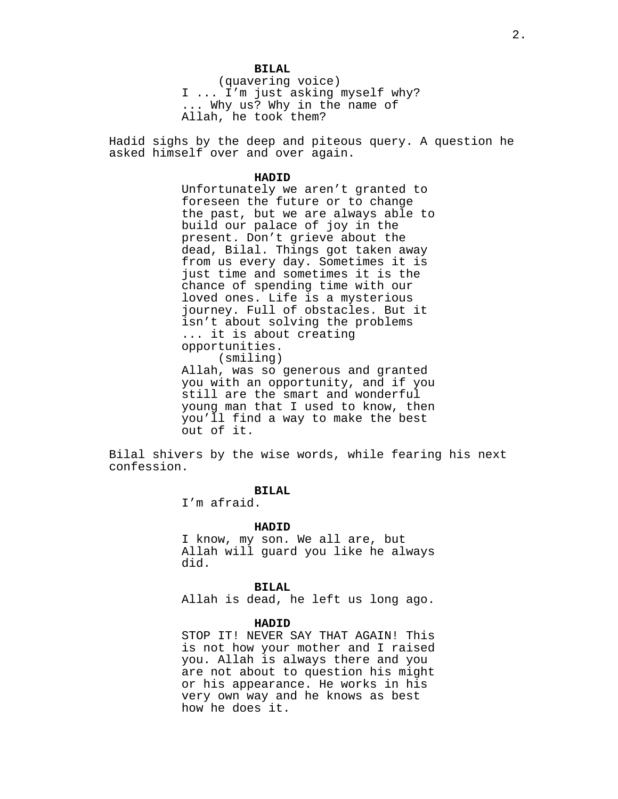#### **BILAL**

(quavering voice) I ... I'm just asking myself why? ... Why us? Why in the name of Allah, he took them?

Hadid sighs by the deep and piteous query. A question he asked himself over and over again.

## **HADID**

Unfortunately we aren't granted to foreseen the future or to change the past, but we are always able to build our palace of joy in the present. Don't grieve about the dead, Bilal. Things got taken away from us every day. Sometimes it is just time and sometimes it is the chance of spending time with our loved ones. Life is a mysterious journey. Full of obstacles. But it isn't about solving the problems ... it is about creating opportunities. (smiling) Allah, was so generous and granted you with an opportunity, and if you

still are the smart and wonderful young man that I used to know, then you'll find a way to make the best out of it.

Bilal shivers by the wise words, while fearing his next confession.

# **BILAL**

I'm afraid.

### **HADID**

I know, my son. We all are, but Allah will guard you like he always did.

## **BILAL**

Allah is dead, he left us long ago.

### **HADID**

STOP IT! NEVER SAY THAT AGAIN! This is not how your mother and I raised you. Allah is always there and you are not about to question his might or his appearance. He works in his very own way and he knows as best how he does it.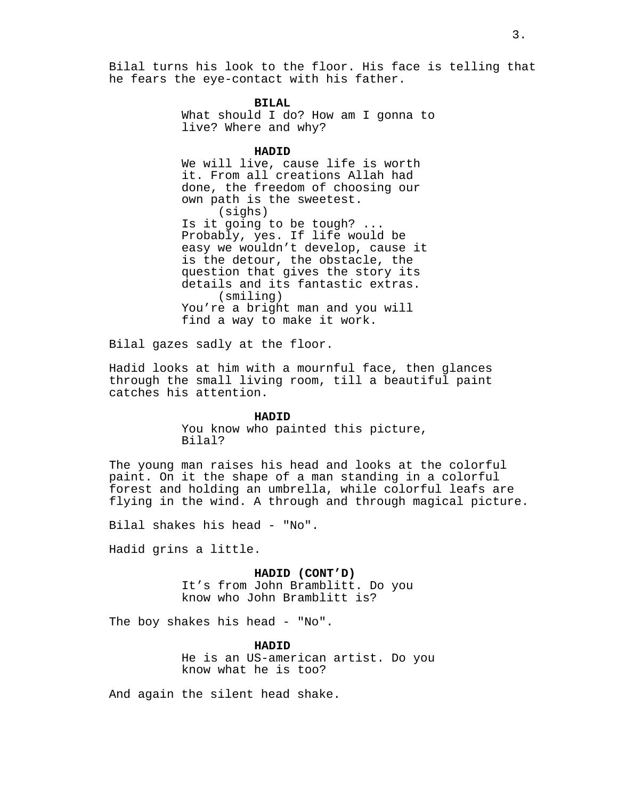Bilal turns his look to the floor. His face is telling that he fears the eye-contact with his father.

**BILAL**

What should I do? How am I gonna to live? Where and why?

#### **HADID**

We will live, cause life is worth it. From all creations Allah had done, the freedom of choosing our own path is the sweetest. (sighs) Is it going to be tough? ... Probably, yes. If life would be easy we wouldn't develop, cause it is the detour, the obstacle, the question that gives the story its details and its fantastic extras. (smiling) You're a bright man and you will find a way to make it work.

Bilal gazes sadly at the floor.

Hadid looks at him with a mournful face, then glances through the small living room, till a beautiful paint catches his attention.

#### **HADID**

You know who painted this picture, Bilal?

The young man raises his head and looks at the colorful paint. On it the shape of a man standing in a colorful forest and holding an umbrella, while colorful leafs are flying in the wind. A through and through magical picture.

Bilal shakes his head - "No".

Hadid grins a little.

#### **HADID (CONT'D)**

It's from John Bramblitt. Do you know who John Bramblitt is?

The boy shakes his head - "No".

**HADID**

He is an US-american artist. Do you know what he is too?

And again the silent head shake.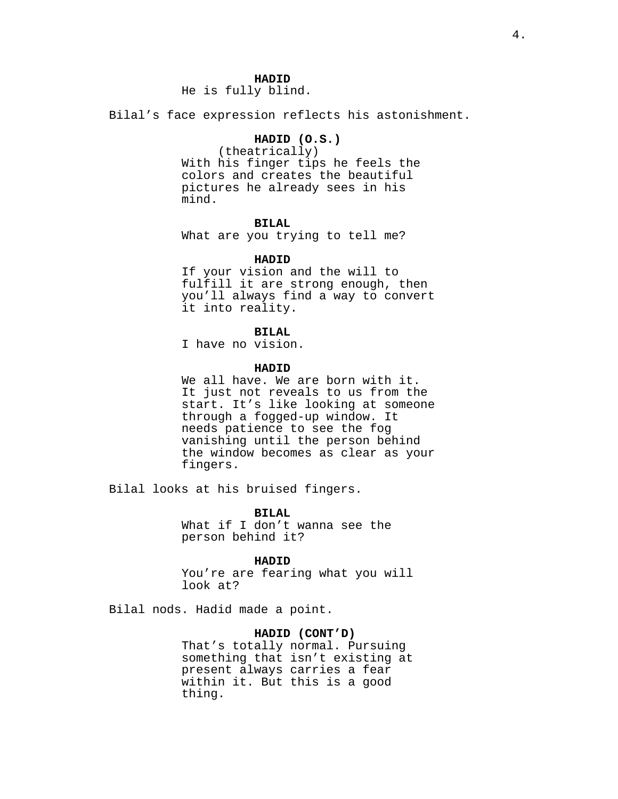## **HADID**

He is fully blind.

Bilal's face expression reflects his astonishment.

# **HADID (O.S.)**

(theatrically) With his finger tips he feels the colors and creates the beautiful pictures he already sees in his mind.

# **BILAL**

What are you trying to tell me?

#### **HADID**

If your vision and the will to fulfill it are strong enough, then you'll always find a way to convert it into reality.

## **BILAL**

I have no vision.

#### **HADID**

We all have. We are born with it. It just not reveals to us from the start. It's like looking at someone through a fogged-up window. It needs patience to see the fog vanishing until the person behind the window becomes as clear as your fingers.

Bilal looks at his bruised fingers.

**BILAL**

What if I don't wanna see the person behind it?

### **HADID**

You're are fearing what you will look at?

Bilal nods. Hadid made a point.

## **HADID (CONT'D)**

That's totally normal. Pursuing something that isn't existing at present always carries a fear within it. But this is a good thing.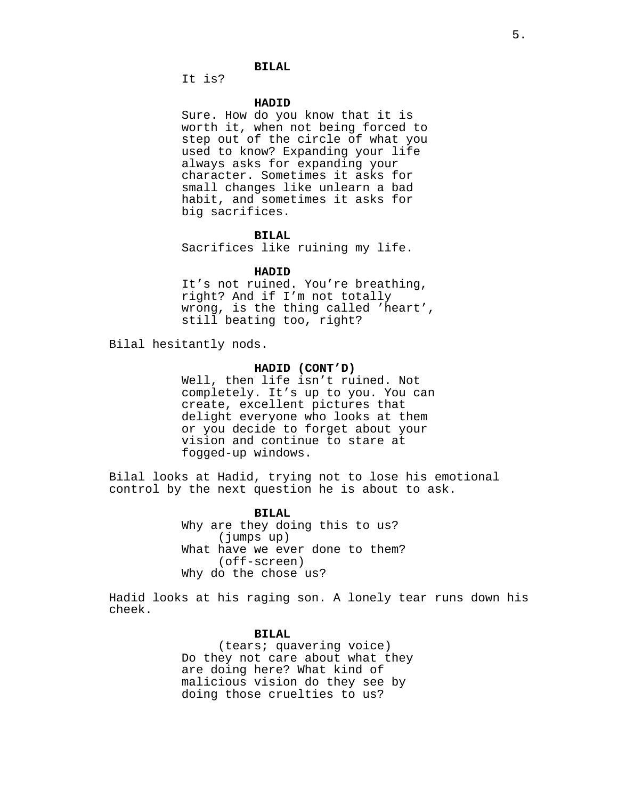# **BILAL**

It is?

## **HADID**

Sure. How do you know that it is worth it, when not being forced to step out of the circle of what you used to know? Expanding your life always asks for expanding your character. Sometimes it asks for small changes like unlearn a bad habit, and sometimes it asks for big sacrifices.

#### **BILAL**

Sacrifices like ruining my life.

#### **HADID**

It's not ruined. You're breathing, right? And if I'm not totally wrong, is the thing called 'heart', still beating too, right?

Bilal hesitantly nods.

### **HADID (CONT'D)**

Well, then life isn't ruined. Not completely. It's up to you. You can create, excellent pictures that delight everyone who looks at them or you decide to forget about your vision and continue to stare at fogged-up windows.

Bilal looks at Hadid, trying not to lose his emotional control by the next question he is about to ask.

> **BILAL** Why are they doing this to us? (jumps up) What have we ever done to them? (off-screen) Why do the chose us?

Hadid looks at his raging son. A lonely tear runs down his cheek.

## **BILAL**

(tears; quavering voice) Do they not care about what they are doing here? What kind of malicious vision do they see by doing those cruelties to us?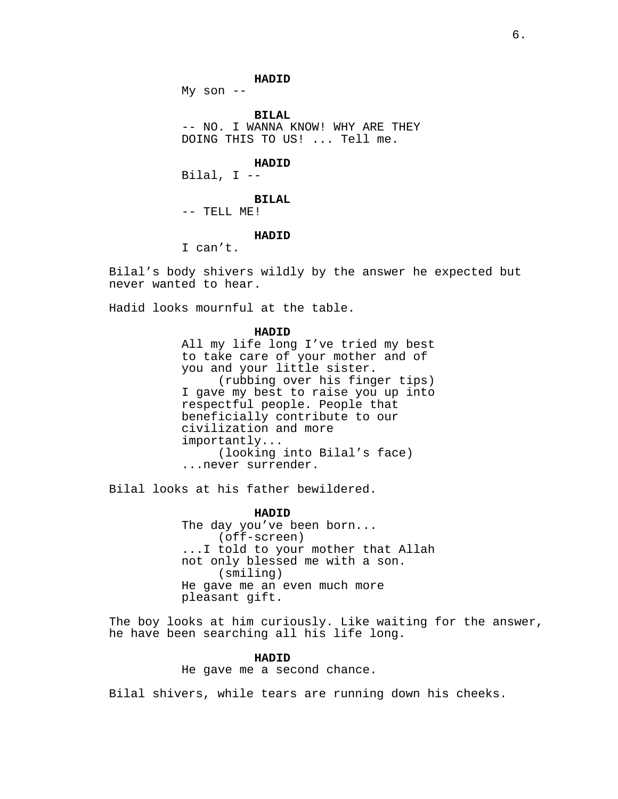**HADID**

My son  $--$ 

**BILAL** -- NO. I WANNA KNOW! WHY ARE THEY DOING THIS TO US! ... Tell me.

**HADID**

Bilal, I --

**BILAL** -- TELL ME!

#### **HADID**

I can't.

Bilal's body shivers wildly by the answer he expected but never wanted to hear.

Hadid looks mournful at the table.

## **HADID**

All my life long I've tried my best to take care of your mother and of you and your little sister. (rubbing over his finger tips) I gave my best to raise you up into respectful people. People that beneficially contribute to our civilization and more importantly... (looking into Bilal's face) ...never surrender.

Bilal looks at his father bewildered.

**HADID**

The day you've been born... (off-screen) ...I told to your mother that Allah not only blessed me with a son. (smiling) He gave me an even much more pleasant gift.

The boy looks at him curiously. Like waiting for the answer, he have been searching all his life long.

## **HADID**

He gave me a second chance.

Bilal shivers, while tears are running down his cheeks.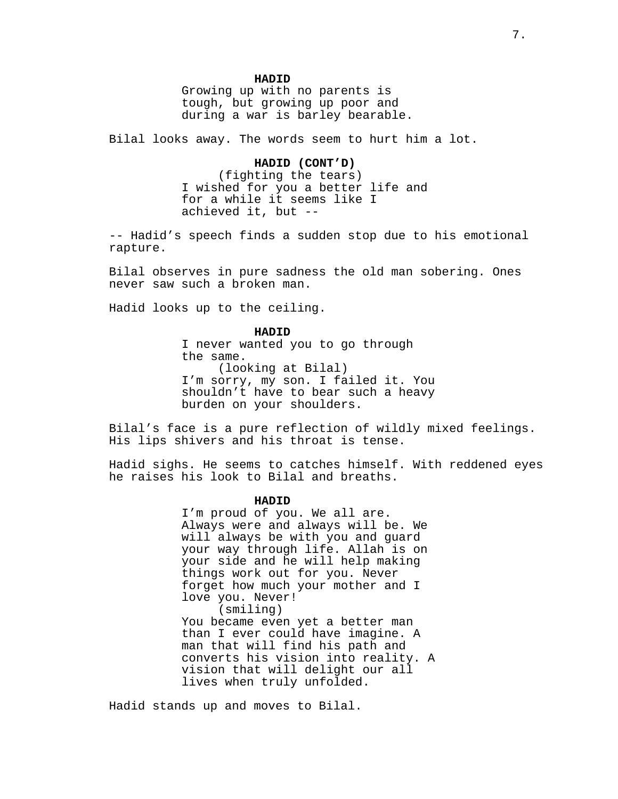### **HADID**

Growing up with no parents is tough, but growing up poor and during a war is barley bearable.

Bilal looks away. The words seem to hurt him a lot.

### **HADID (CONT'D)**

(fighting the tears) I wished for you a better life and for a while it seems like I achieved it, but --

-- Hadid's speech finds a sudden stop due to his emotional rapture.

Bilal observes in pure sadness the old man sobering. Ones never saw such a broken man.

Hadid looks up to the ceiling.

**HADID** I never wanted you to go through the same. (looking at Bilal) I'm sorry, my son. I failed it. You shouldn't have to bear such a heavy burden on your shoulders.

Bilal's face is a pure reflection of wildly mixed feelings. His lips shivers and his throat is tense.

Hadid sighs. He seems to catches himself. With reddened eyes he raises his look to Bilal and breaths.

## **HADID**

I'm proud of you. We all are. Always were and always will be. We will always be with you and guard your way through life. Allah is on your side and he will help making things work out for you. Never forget how much your mother and I love you. Never! (smiling) You became even yet a better man than I ever could have imagine. A man that will find his path and converts his vision into reality. A vision that will delight our all lives when truly unfolded.

Hadid stands up and moves to Bilal.